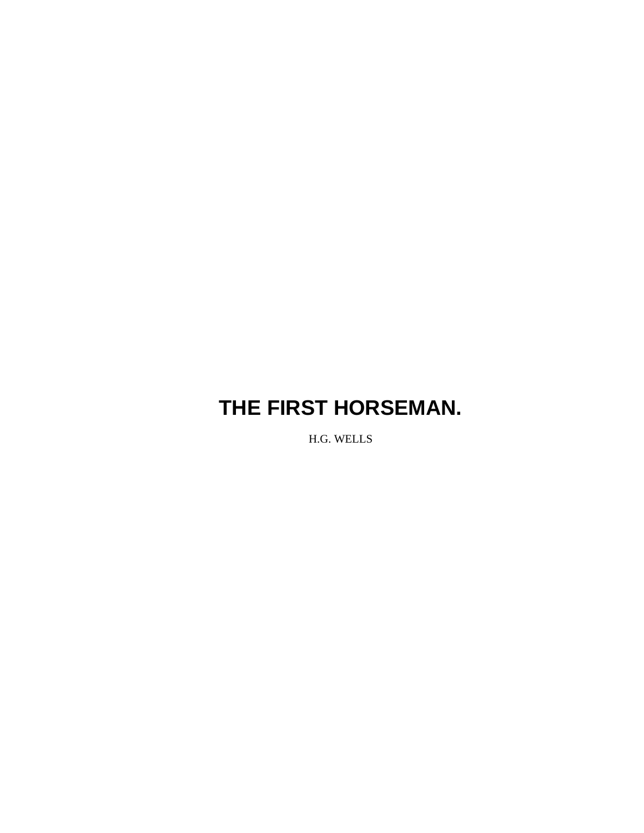H.G. WELLS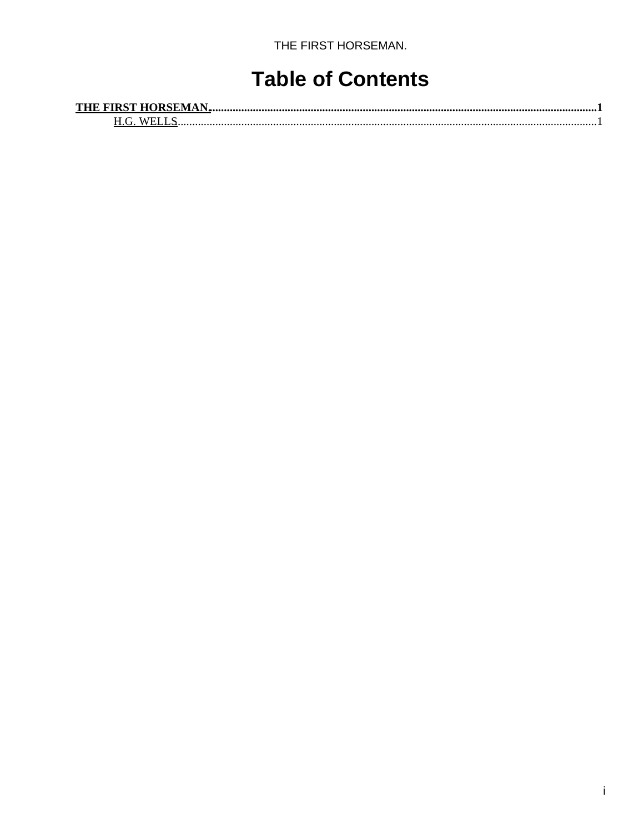### **Table of Contents**

| <b>THE FIRST HORSEMAN.</b> |  |
|----------------------------|--|
| M/H                        |  |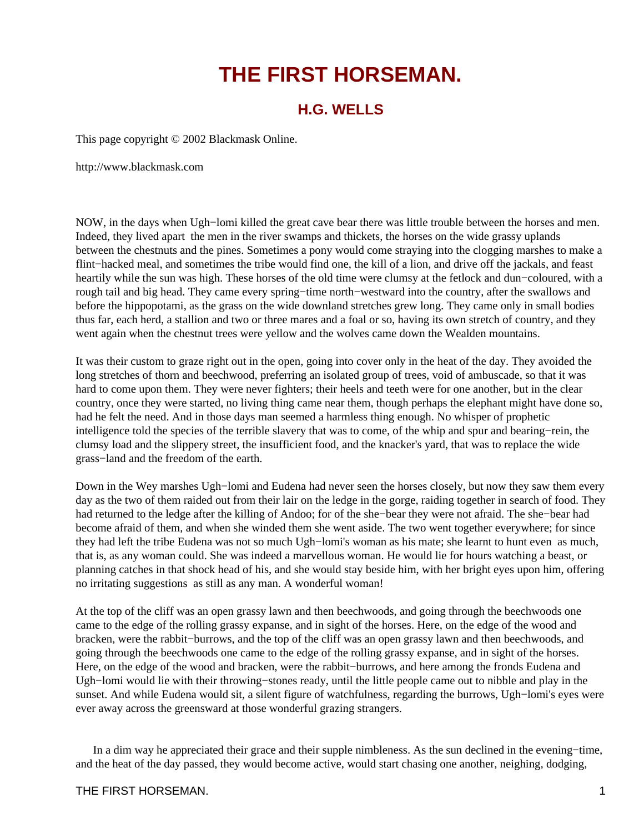### **H.G. WELLS**

<span id="page-2-1"></span><span id="page-2-0"></span>This page copyright © 2002 Blackmask Online.

http://www.blackmask.com

NOW, in the days when Ugh−lomi killed the great cave bear there was little trouble between the horses and men. Indeed, they lived apart the men in the river swamps and thickets, the horses on the wide grassy uplands between the chestnuts and the pines. Sometimes a pony would come straying into the clogging marshes to make a flint−hacked meal, and sometimes the tribe would find one, the kill of a lion, and drive off the jackals, and feast heartily while the sun was high. These horses of the old time were clumsy at the fetlock and dun−coloured, with a rough tail and big head. They came every spring−time north−westward into the country, after the swallows and before the hippopotami, as the grass on the wide downland stretches grew long. They came only in small bodies thus far, each herd, a stallion and two or three mares and a foal or so, having its own stretch of country, and they went again when the chestnut trees were yellow and the wolves came down the Wealden mountains.

It was their custom to graze right out in the open, going into cover only in the heat of the day. They avoided the long stretches of thorn and beechwood, preferring an isolated group of trees, void of ambuscade, so that it was hard to come upon them. They were never fighters; their heels and teeth were for one another, but in the clear country, once they were started, no living thing came near them, though perhaps the elephant might have done so, had he felt the need. And in those days man seemed a harmless thing enough. No whisper of prophetic intelligence told the species of the terrible slavery that was to come, of the whip and spur and bearing−rein, the clumsy load and the slippery street, the insufficient food, and the knacker's yard, that was to replace the wide grass−land and the freedom of the earth.

Down in the Wey marshes Ugh−lomi and Eudena had never seen the horses closely, but now they saw them every day as the two of them raided out from their lair on the ledge in the gorge, raiding together in search of food. They had returned to the ledge after the killing of Andoo; for of the she−bear they were not afraid. The she−bear had become afraid of them, and when she winded them she went aside. The two went together everywhere; for since they had left the tribe Eudena was not so much Ugh−lomi's woman as his mate; she learnt to hunt even as much, that is, as any woman could. She was indeed a marvellous woman. He would lie for hours watching a beast, or planning catches in that shock head of his, and she would stay beside him, with her bright eyes upon him, offering no irritating suggestions as still as any man. A wonderful woman!

At the top of the cliff was an open grassy lawn and then beechwoods, and going through the beechwoods one came to the edge of the rolling grassy expanse, and in sight of the horses. Here, on the edge of the wood and bracken, were the rabbit−burrows, and the top of the cliff was an open grassy lawn and then beechwoods, and going through the beechwoods one came to the edge of the rolling grassy expanse, and in sight of the horses. Here, on the edge of the wood and bracken, were the rabbit−burrows, and here among the fronds Eudena and Ugh−lomi would lie with their throwing−stones ready, until the little people came out to nibble and play in the sunset. And while Eudena would sit, a silent figure of watchfulness, regarding the burrows, Ugh−lomi's eyes were ever away across the greensward at those wonderful grazing strangers.

 In a dim way he appreciated their grace and their supple nimbleness. As the sun declined in the evening−time, and the heat of the day passed, they would become active, would start chasing one another, neighing, dodging,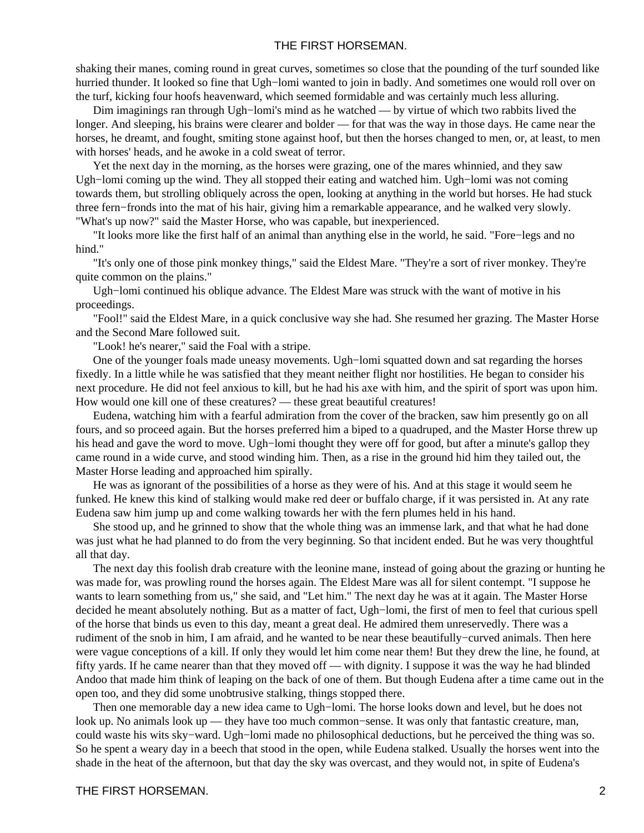shaking their manes, coming round in great curves, sometimes so close that the pounding of the turf sounded like hurried thunder. It looked so fine that Ugh−lomi wanted to join in badly. And sometimes one would roll over on the turf, kicking four hoofs heavenward, which seemed formidable and was certainly much less alluring.

 Dim imaginings ran through Ugh−lomi's mind as he watched — by virtue of which two rabbits lived the longer. And sleeping, his brains were clearer and bolder — for that was the way in those days. He came near the horses, he dreamt, and fought, smiting stone against hoof, but then the horses changed to men, or, at least, to men with horses' heads, and he awoke in a cold sweat of terror.

 Yet the next day in the morning, as the horses were grazing, one of the mares whinnied, and they saw Ugh−lomi coming up the wind. They all stopped their eating and watched him. Ugh−lomi was not coming towards them, but strolling obliquely across the open, looking at anything in the world but horses. He had stuck three fern−fronds into the mat of his hair, giving him a remarkable appearance, and he walked very slowly. "What's up now?" said the Master Horse, who was capable, but inexperienced.

 "It looks more like the first half of an animal than anything else in the world, he said. "Fore−legs and no hind."

 "It's only one of those pink monkey things," said the Eldest Mare. "They're a sort of river monkey. They're quite common on the plains."

 Ugh−lomi continued his oblique advance. The Eldest Mare was struck with the want of motive in his proceedings.

 "Fool!" said the Eldest Mare, in a quick conclusive way she had. She resumed her grazing. The Master Horse and the Second Mare followed suit.

"Look! he's nearer," said the Foal with a stripe.

 One of the younger foals made uneasy movements. Ugh−lomi squatted down and sat regarding the horses fixedly. In a little while he was satisfied that they meant neither flight nor hostilities. He began to consider his next procedure. He did not feel anxious to kill, but he had his axe with him, and the spirit of sport was upon him. How would one kill one of these creatures? — these great beautiful creatures!

 Eudena, watching him with a fearful admiration from the cover of the bracken, saw him presently go on all fours, and so proceed again. But the horses preferred him a biped to a quadruped, and the Master Horse threw up his head and gave the word to move. Ugh−lomi thought they were off for good, but after a minute's gallop they came round in a wide curve, and stood winding him. Then, as a rise in the ground hid him they tailed out, the Master Horse leading and approached him spirally.

 He was as ignorant of the possibilities of a horse as they were of his. And at this stage it would seem he funked. He knew this kind of stalking would make red deer or buffalo charge, if it was persisted in. At any rate Eudena saw him jump up and come walking towards her with the fern plumes held in his hand.

 She stood up, and he grinned to show that the whole thing was an immense lark, and that what he had done was just what he had planned to do from the very beginning. So that incident ended. But he was very thoughtful all that day.

 The next day this foolish drab creature with the leonine mane, instead of going about the grazing or hunting he was made for, was prowling round the horses again. The Eldest Mare was all for silent contempt. "I suppose he wants to learn something from us," she said, and "Let him." The next day he was at it again. The Master Horse decided he meant absolutely nothing. But as a matter of fact, Ugh−lomi, the first of men to feel that curious spell of the horse that binds us even to this day, meant a great deal. He admired them unreservedly. There was a rudiment of the snob in him, I am afraid, and he wanted to be near these beautifully−curved animals. Then here were vague conceptions of a kill. If only they would let him come near them! But they drew the line, he found, at fifty yards. If he came nearer than that they moved off — with dignity. I suppose it was the way he had blinded Andoo that made him think of leaping on the back of one of them. But though Eudena after a time came out in the open too, and they did some unobtrusive stalking, things stopped there.

 Then one memorable day a new idea came to Ugh−lomi. The horse looks down and level, but he does not look up. No animals look up — they have too much common−sense. It was only that fantastic creature, man, could waste his wits sky−ward. Ugh−lomi made no philosophical deductions, but he perceived the thing was so. So he spent a weary day in a beech that stood in the open, while Eudena stalked. Usually the horses went into the shade in the heat of the afternoon, but that day the sky was overcast, and they would not, in spite of Eudena's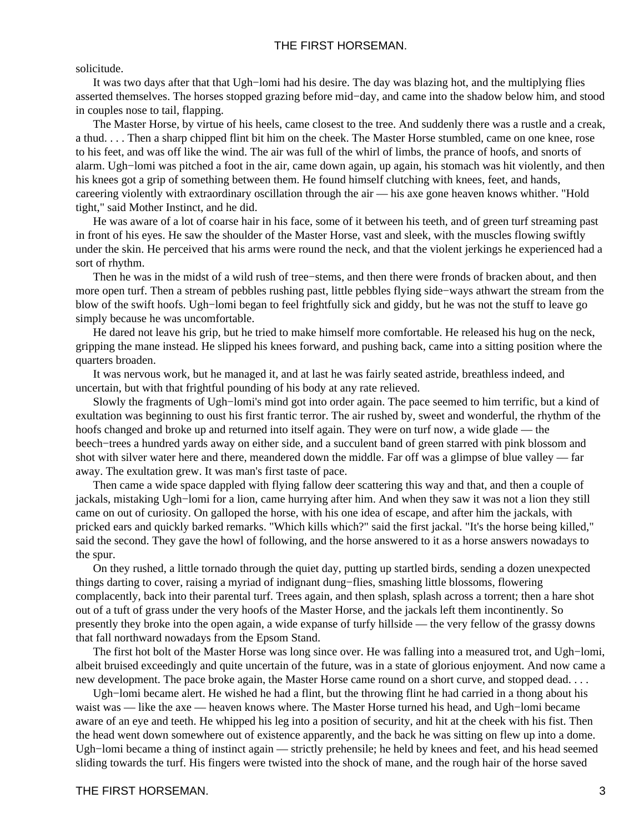#### solicitude.

 It was two days after that that Ugh−lomi had his desire. The day was blazing hot, and the multiplying flies asserted themselves. The horses stopped grazing before mid−day, and came into the shadow below him, and stood in couples nose to tail, flapping.

 The Master Horse, by virtue of his heels, came closest to the tree. And suddenly there was a rustle and a creak, a thud. . . . Then a sharp chipped flint bit him on the cheek. The Master Horse stumbled, came on one knee, rose to his feet, and was off like the wind. The air was full of the whirl of limbs, the prance of hoofs, and snorts of alarm. Ugh−lomi was pitched a foot in the air, came down again, up again, his stomach was hit violently, and then his knees got a grip of something between them. He found himself clutching with knees, feet, and hands, careering violently with extraordinary oscillation through the air — his axe gone heaven knows whither. "Hold tight," said Mother Instinct, and he did.

 He was aware of a lot of coarse hair in his face, some of it between his teeth, and of green turf streaming past in front of his eyes. He saw the shoulder of the Master Horse, vast and sleek, with the muscles flowing swiftly under the skin. He perceived that his arms were round the neck, and that the violent jerkings he experienced had a sort of rhythm.

 Then he was in the midst of a wild rush of tree−stems, and then there were fronds of bracken about, and then more open turf. Then a stream of pebbles rushing past, little pebbles flying side−ways athwart the stream from the blow of the swift hoofs. Ugh−lomi began to feel frightfully sick and giddy, but he was not the stuff to leave go simply because he was uncomfortable.

 He dared not leave his grip, but he tried to make himself more comfortable. He released his hug on the neck, gripping the mane instead. He slipped his knees forward, and pushing back, came into a sitting position where the quarters broaden.

 It was nervous work, but he managed it, and at last he was fairly seated astride, breathless indeed, and uncertain, but with that frightful pounding of his body at any rate relieved.

 Slowly the fragments of Ugh−lomi's mind got into order again. The pace seemed to him terrific, but a kind of exultation was beginning to oust his first frantic terror. The air rushed by, sweet and wonderful, the rhythm of the hoofs changed and broke up and returned into itself again. They were on turf now, a wide glade — the beech−trees a hundred yards away on either side, and a succulent band of green starred with pink blossom and shot with silver water here and there, meandered down the middle. Far off was a glimpse of blue valley — far away. The exultation grew. It was man's first taste of pace.

 Then came a wide space dappled with flying fallow deer scattering this way and that, and then a couple of jackals, mistaking Ugh−lomi for a lion, came hurrying after him. And when they saw it was not a lion they still came on out of curiosity. On galloped the horse, with his one idea of escape, and after him the jackals, with pricked ears and quickly barked remarks. "Which kills which?" said the first jackal. "It's the horse being killed," said the second. They gave the howl of following, and the horse answered to it as a horse answers nowadays to the spur.

 On they rushed, a little tornado through the quiet day, putting up startled birds, sending a dozen unexpected things darting to cover, raising a myriad of indignant dung−flies, smashing little blossoms, flowering complacently, back into their parental turf. Trees again, and then splash, splash across a torrent; then a hare shot out of a tuft of grass under the very hoofs of the Master Horse, and the jackals left them incontinently. So presently they broke into the open again, a wide expanse of turfy hillside — the very fellow of the grassy downs that fall northward nowadays from the Epsom Stand.

 The first hot bolt of the Master Horse was long since over. He was falling into a measured trot, and Ugh−lomi, albeit bruised exceedingly and quite uncertain of the future, was in a state of glorious enjoyment. And now came a new development. The pace broke again, the Master Horse came round on a short curve, and stopped dead. . . .

 Ugh−lomi became alert. He wished he had a flint, but the throwing flint he had carried in a thong about his waist was — like the axe — heaven knows where. The Master Horse turned his head, and Ugh−lomi became aware of an eye and teeth. He whipped his leg into a position of security, and hit at the cheek with his fist. Then the head went down somewhere out of existence apparently, and the back he was sitting on flew up into a dome. Ugh−lomi became a thing of instinct again — strictly prehensile; he held by knees and feet, and his head seemed sliding towards the turf. His fingers were twisted into the shock of mane, and the rough hair of the horse saved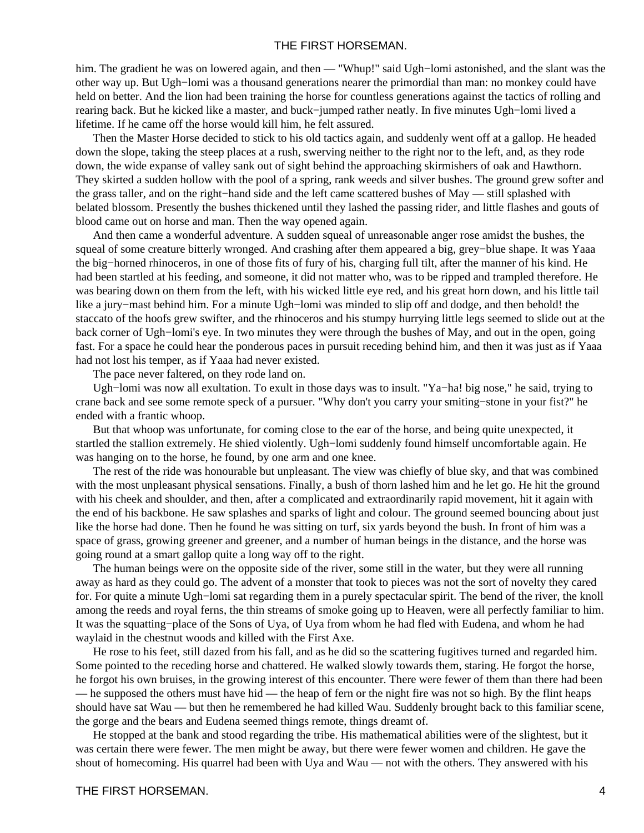him. The gradient he was on lowered again, and then — "Whup!" said Ugh−lomi astonished, and the slant was the other way up. But Ugh−lomi was a thousand generations nearer the primordial than man: no monkey could have held on better. And the lion had been training the horse for countless generations against the tactics of rolling and rearing back. But he kicked like a master, and buck−jumped rather neatly. In five minutes Ugh−lomi lived a lifetime. If he came off the horse would kill him, he felt assured.

 Then the Master Horse decided to stick to his old tactics again, and suddenly went off at a gallop. He headed down the slope, taking the steep places at a rush, swerving neither to the right nor to the left, and, as they rode down, the wide expanse of valley sank out of sight behind the approaching skirmishers of oak and Hawthorn. They skirted a sudden hollow with the pool of a spring, rank weeds and silver bushes. The ground grew softer and the grass taller, and on the right−hand side and the left came scattered bushes of May — still splashed with belated blossom. Presently the bushes thickened until they lashed the passing rider, and little flashes and gouts of blood came out on horse and man. Then the way opened again.

 And then came a wonderful adventure. A sudden squeal of unreasonable anger rose amidst the bushes, the squeal of some creature bitterly wronged. And crashing after them appeared a big, grey−blue shape. It was Yaaa the big−horned rhinoceros, in one of those fits of fury of his, charging full tilt, after the manner of his kind. He had been startled at his feeding, and someone, it did not matter who, was to be ripped and trampled therefore. He was bearing down on them from the left, with his wicked little eye red, and his great horn down, and his little tail like a jury−mast behind him. For a minute Ugh−lomi was minded to slip off and dodge, and then behold! the staccato of the hoofs grew swifter, and the rhinoceros and his stumpy hurrying little legs seemed to slide out at the back corner of Ugh−lomi's eye. In two minutes they were through the bushes of May, and out in the open, going fast. For a space he could hear the ponderous paces in pursuit receding behind him, and then it was just as if Yaaa had not lost his temper, as if Yaaa had never existed.

The pace never faltered, on they rode land on.

 Ugh−lomi was now all exultation. To exult in those days was to insult. "Ya−ha! big nose," he said, trying to crane back and see some remote speck of a pursuer. "Why don't you carry your smiting−stone in your fist?" he ended with a frantic whoop.

 But that whoop was unfortunate, for coming close to the ear of the horse, and being quite unexpected, it startled the stallion extremely. He shied violently. Ugh−lomi suddenly found himself uncomfortable again. He was hanging on to the horse, he found, by one arm and one knee.

 The rest of the ride was honourable but unpleasant. The view was chiefly of blue sky, and that was combined with the most unpleasant physical sensations. Finally, a bush of thorn lashed him and he let go. He hit the ground with his cheek and shoulder, and then, after a complicated and extraordinarily rapid movement, hit it again with the end of his backbone. He saw splashes and sparks of light and colour. The ground seemed bouncing about just like the horse had done. Then he found he was sitting on turf, six yards beyond the bush. In front of him was a space of grass, growing greener and greener, and a number of human beings in the distance, and the horse was going round at a smart gallop quite a long way off to the right.

 The human beings were on the opposite side of the river, some still in the water, but they were all running away as hard as they could go. The advent of a monster that took to pieces was not the sort of novelty they cared for. For quite a minute Ugh−lomi sat regarding them in a purely spectacular spirit. The bend of the river, the knoll among the reeds and royal ferns, the thin streams of smoke going up to Heaven, were all perfectly familiar to him. It was the squatting−place of the Sons of Uya, of Uya from whom he had fled with Eudena, and whom he had waylaid in the chestnut woods and killed with the First Axe.

 He rose to his feet, still dazed from his fall, and as he did so the scattering fugitives turned and regarded him. Some pointed to the receding horse and chattered. He walked slowly towards them, staring. He forgot the horse, he forgot his own bruises, in the growing interest of this encounter. There were fewer of them than there had been — he supposed the others must have hid — the heap of fern or the night fire was not so high. By the flint heaps should have sat Wau — but then he remembered he had killed Wau. Suddenly brought back to this familiar scene, the gorge and the bears and Eudena seemed things remote, things dreamt of.

 He stopped at the bank and stood regarding the tribe. His mathematical abilities were of the slightest, but it was certain there were fewer. The men might be away, but there were fewer women and children. He gave the shout of homecoming. His quarrel had been with Uya and Wau — not with the others. They answered with his